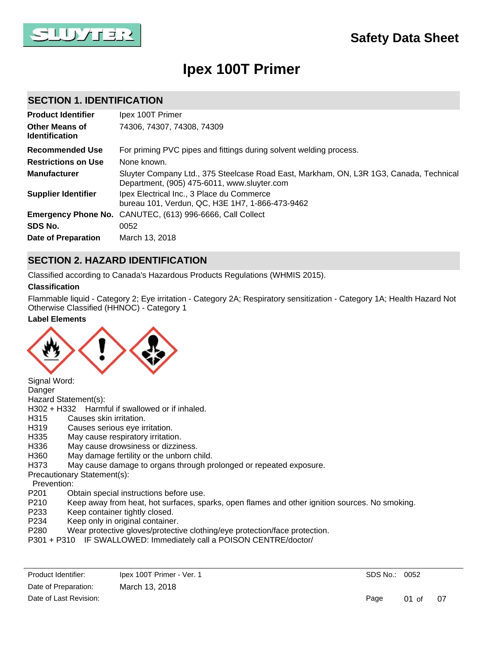

# **Ipex 100T Primer**

### **SECTION 1. IDENTIFICATION**

| <b>Product Identifier</b>                      | Ipex 100T Primer                                                                                                                      |
|------------------------------------------------|---------------------------------------------------------------------------------------------------------------------------------------|
| <b>Other Means of</b><br><b>Identification</b> | 74306, 74307, 74308, 74309                                                                                                            |
| <b>Recommended Use</b>                         | For priming PVC pipes and fittings during solvent welding process.                                                                    |
| <b>Restrictions on Use</b>                     | None known.                                                                                                                           |
| <b>Manufacturer</b>                            | Sluyter Company Ltd., 375 Steelcase Road East, Markham, ON, L3R 1G3, Canada, Technical<br>Department, (905) 475-6011, www.sluyter.com |
| <b>Supplier Identifier</b>                     | Ipex Electrical Inc., 3 Place du Commerce<br>bureau 101, Verdun, QC, H3E 1H7, 1-866-473-9462                                          |
|                                                | <b>Emergency Phone No.</b> CANUTEC, (613) 996-6666, Call Collect                                                                      |
| SDS No.                                        | 0052                                                                                                                                  |
| <b>Date of Preparation</b>                     | March 13, 2018                                                                                                                        |

### **SECTION 2. HAZARD IDENTIFICATION**

Classified according to Canada's Hazardous Products Regulations (WHMIS 2015).

#### **Classification**

Flammable liquid - Category 2; Eye irritation - Category 2A; Respiratory sensitization - Category 1A; Health Hazard Not Otherwise Classified (HHNOC) - Category 1

#### **Label Elements**



Signal Word: Danger Hazard Statement(s): H302 + H332 Harmful if swallowed or if inhaled. H315 Causes skin irritation. H319 Causes serious eye irritation. H335 May cause respiratory irritation. H336 May cause drowsiness or dizziness. H360 May damage fertility or the unborn child. H373 May cause damage to organs through prolonged or repeated exposure. Precautionary Statement(s): Prevention: P201 Obtain special instructions before use.<br>P210 Keep away from heat, hot surfaces, sp

- Keep away from heat, hot surfaces, sparks, open flames and other ignition sources. No smoking.
- P233 Keep container tightly closed.
- P234 Keep only in original container.
- P280 Wear protective gloves/protective clothing/eye protection/face protection.
- P301 + P310 IF SWALLOWED: Immediately call a POISON CENTRE/doctor/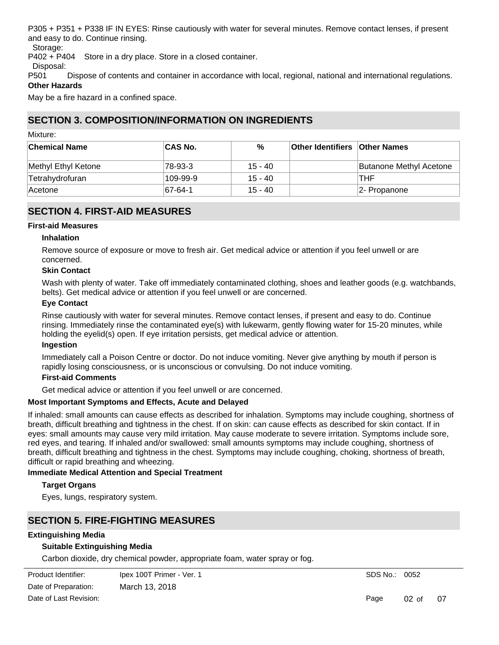P305 + P351 + P338 IF IN EYES: Rinse cautiously with water for several minutes. Remove contact lenses, if present and easy to do. Continue rinsing.

Storage:

P402 + P404 Store in a dry place. Store in a closed container.

Disposal:

P501 Dispose of contents and container in accordance with local, regional, national and international regulations. **Other Hazards**

May be a fire hazard in a confined space.

### **SECTION 3. COMPOSITION/INFORMATION ON INGREDIENTS**

Mixture:

| <b>Chemical Name</b> | ∣CAS No. | %         | <b>Other Identifiers Other Names</b> |                         |
|----------------------|----------|-----------|--------------------------------------|-------------------------|
| Methyl Ethyl Ketone  | 78-93-3  | $15 - 40$ |                                      | Butanone Methyl Acetone |
| Tetrahydrofuran      | 109-99-9 | $15 - 40$ |                                      | <b>THF</b>              |
| ∣Acetone             | 67-64-1  | $15 - 40$ |                                      | 2- Propanone            |

### **SECTION 4. FIRST-AID MEASURES**

#### **First-aid Measures**

#### **Inhalation**

Remove source of exposure or move to fresh air. Get medical advice or attention if you feel unwell or are concerned.

#### **Skin Contact**

Wash with plenty of water. Take off immediately contaminated clothing, shoes and leather goods (e.g. watchbands, belts). Get medical advice or attention if you feel unwell or are concerned.

#### **Eye Contact**

Rinse cautiously with water for several minutes. Remove contact lenses, if present and easy to do. Continue rinsing. Immediately rinse the contaminated eye(s) with lukewarm, gently flowing water for 15-20 minutes, while holding the eyelid(s) open. If eye irritation persists, get medical advice or attention.

#### **Ingestion**

Immediately call a Poison Centre or doctor. Do not induce vomiting. Never give anything by mouth if person is rapidly losing consciousness, or is unconscious or convulsing. Do not induce vomiting.

#### **First-aid Comments**

Get medical advice or attention if you feel unwell or are concerned.

#### **Most Important Symptoms and Effects, Acute and Delayed**

If inhaled: small amounts can cause effects as described for inhalation. Symptoms may include coughing, shortness of breath, difficult breathing and tightness in the chest. If on skin: can cause effects as described for skin contact. If in eyes: small amounts may cause very mild irritation. May cause moderate to severe irritation. Symptoms include sore, red eyes, and tearing. If inhaled and/or swallowed: small amounts symptoms may include coughing, shortness of breath, difficult breathing and tightness in the chest. Symptoms may include coughing, choking, shortness of breath, difficult or rapid breathing and wheezing.

#### **Immediate Medical Attention and Special Treatment**

#### **Target Organs**

Eyes, lungs, respiratory system.

### **SECTION 5. FIRE-FIGHTING MEASURES**

#### **Extinguishing Media**

#### **Suitable Extinguishing Media**

Carbon dioxide, dry chemical powder, appropriate foam, water spray or fog.

SDS No.: 0052

Page 02 of 07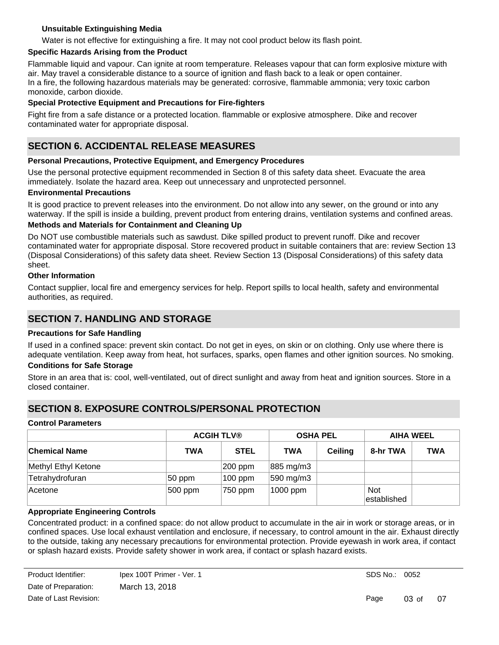#### **Unsuitable Extinguishing Media**

Water is not effective for extinguishing a fire. It may not cool product below its flash point.

#### **Specific Hazards Arising from the Product**

Flammable liquid and vapour. Can ignite at room temperature. Releases vapour that can form explosive mixture with air. May travel a considerable distance to a source of ignition and flash back to a leak or open container. In a fire, the following hazardous materials may be generated: corrosive, flammable ammonia; very toxic carbon monoxide, carbon dioxide.

#### **Special Protective Equipment and Precautions for Fire-fighters**

Fight fire from a safe distance or a protected location. flammable or explosive atmosphere. Dike and recover contaminated water for appropriate disposal.

### **SECTION 6. ACCIDENTAL RELEASE MEASURES**

#### **Personal Precautions, Protective Equipment, and Emergency Procedures**

Use the personal protective equipment recommended in Section 8 of this safety data sheet. Evacuate the area immediately. Isolate the hazard area. Keep out unnecessary and unprotected personnel.

#### **Environmental Precautions**

It is good practice to prevent releases into the environment. Do not allow into any sewer, on the ground or into any waterway. If the spill is inside a building, prevent product from entering drains, ventilation systems and confined areas.

#### **Methods and Materials for Containment and Cleaning Up**

Do NOT use combustible materials such as sawdust. Dike spilled product to prevent runoff. Dike and recover contaminated water for appropriate disposal. Store recovered product in suitable containers that are: review Section 13 (Disposal Considerations) of this safety data sheet. Review Section 13 (Disposal Considerations) of this safety data sheet.

#### **Other Information**

Contact supplier, local fire and emergency services for help. Report spills to local health, safety and environmental authorities, as required.

### **SECTION 7. HANDLING AND STORAGE**

#### **Precautions for Safe Handling**

If used in a confined space: prevent skin contact. Do not get in eyes, on skin or on clothing. Only use where there is adequate ventilation. Keep away from heat, hot surfaces, sparks, open flames and other ignition sources. No smoking.

#### **Conditions for Safe Storage**

Store in an area that is: cool, well-ventilated, out of direct sunlight and away from heat and ignition sources. Store in a closed container.

### **SECTION 8. EXPOSURE CONTROLS/PERSONAL PROTECTION**

#### **Control Parameters**

|                      | <b>ACGIH TLV®</b> |             | <b>OSHA PEL</b>       |                | <b>AIHA WEEL</b>           |            |
|----------------------|-------------------|-------------|-----------------------|----------------|----------------------------|------------|
| <b>Chemical Name</b> | <b>TWA</b>        | <b>STEL</b> | <b>TWA</b>            | <b>Ceiling</b> | 8-hr TWA                   | <b>TWA</b> |
| Methyl Ethyl Ketone  |                   | $ 200$ ppm  | 885 mg/m3             |                |                            |            |
| Tetrahydrofuran      | 50 ppm            | $100$ ppm   | $ 590 \text{ mg/m}3 $ |                |                            |            |
| Acetone              | 500 ppm           | 750 ppm     | 1000 ppm              |                | <b>Not</b><br>lestablished |            |

#### **Appropriate Engineering Controls**

Concentrated product: in a confined space: do not allow product to accumulate in the air in work or storage areas, or in confined spaces. Use local exhaust ventilation and enclosure, if necessary, to control amount in the air. Exhaust directly to the outside, taking any necessary precautions for environmental protection. Provide eyewash in work area, if contact or splash hazard exists. Provide safety shower in work area, if contact or splash hazard exists.

Page 03 of 07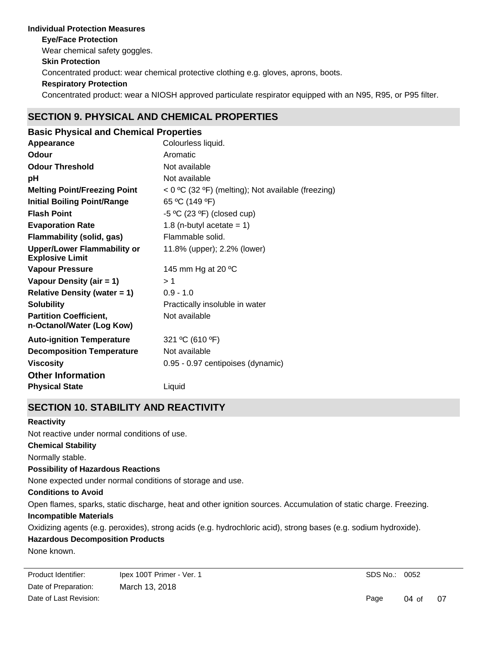### **Individual Protection Measures Skin Protection Respiratory Protection Eye/Face Protection** Concentrated product: wear a NIOSH approved particulate respirator equipped with an N95, R95, or P95 filter. Concentrated product: wear chemical protective clothing e.g. gloves, aprons, boots. Wear chemical safety goggles.

### **SECTION 9. PHYSICAL AND CHEMICAL PROPERTIES**

| <b>Basic Physical and Chemical Properties</b>                |                                                    |
|--------------------------------------------------------------|----------------------------------------------------|
| Appearance                                                   | Colourless liquid.                                 |
| Odour                                                        | Aromatic                                           |
| <b>Odour Threshold</b>                                       | Not available                                      |
| рH                                                           | Not available                                      |
| <b>Melting Point/Freezing Point</b>                          | < 0 °C (32 °F) (melting); Not available (freezing) |
| <b>Initial Boiling Point/Range</b>                           | 65 °C (149 °F)                                     |
| <b>Flash Point</b>                                           | -5 °C (23 °F) (closed cup)                         |
| <b>Evaporation Rate</b>                                      | 1.8 (n-butyl acetate = $1$ )                       |
| <b>Flammability (solid, gas)</b>                             | Flammable solid.                                   |
| <b>Upper/Lower Flammability or</b><br><b>Explosive Limit</b> | 11.8% (upper); 2.2% (lower)                        |
| <b>Vapour Pressure</b>                                       | 145 mm Hg at 20 °C                                 |
| Vapour Density (air = 1)                                     | >1                                                 |
| <b>Relative Density (water = 1)</b>                          | $0.9 - 1.0$                                        |
| <b>Solubility</b>                                            | Practically insoluble in water                     |
| <b>Partition Coefficient,</b><br>n-Octanol/Water (Log Kow)   | Not available                                      |
| <b>Auto-ignition Temperature</b>                             | 321 °C (610 °F)                                    |
| <b>Decomposition Temperature</b>                             | Not available                                      |
| <b>Viscosity</b>                                             | 0.95 - 0.97 centipoises (dynamic)                  |
| <b>Other Information</b>                                     |                                                    |
| <b>Physical State</b>                                        | Liquid                                             |

## **SECTION 10. STABILITY AND REACTIVITY**

#### **Reactivity**

Not reactive under normal conditions of use.

#### **Chemical Stability**

Normally stable.

#### **Possibility of Hazardous Reactions**

None expected under normal conditions of storage and use.

#### **Conditions to Avoid**

Open flames, sparks, static discharge, heat and other ignition sources. Accumulation of static charge. Freezing.

#### **Incompatible Materials**

Oxidizing agents (e.g. peroxides), strong acids (e.g. hydrochloric acid), strong bases (e.g. sodium hydroxide).

#### **Hazardous Decomposition Products**

None known.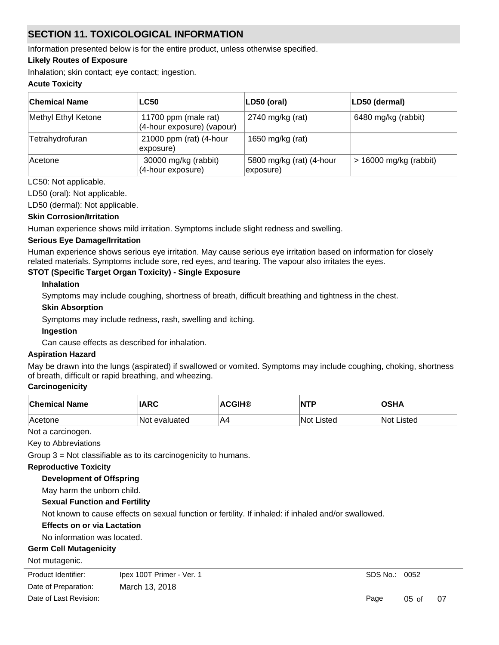## **SECTION 11. TOXICOLOGICAL INFORMATION**

Information presented below is for the entire product, unless otherwise specified.

#### **Likely Routes of Exposure**

Inhalation; skin contact; eye contact; ingestion.

#### **Acute Toxicity**

| <b>Chemical Name</b> | <b>LC50</b>                                        | LD50 (oral)                           | LD50 (dermal)            |
|----------------------|----------------------------------------------------|---------------------------------------|--------------------------|
| Methyl Ethyl Ketone  | 11700 ppm (male rat)<br>(4-hour exposure) (vapour) | 2740 mg/kg (rat)                      | 6480 mg/kg (rabbit)      |
| Tetrahydrofuran      | 21000 ppm (rat) (4-hour<br>exposure)               | 1650 mg/kg (rat)                      |                          |
| Acetone              | 30000 mg/kg (rabbit)<br>(4-hour exposure)          | 5800 mg/kg (rat) (4-hour<br>exposure) | $> 16000$ mg/kg (rabbit) |

#### LC50: Not applicable.

LD50 (oral): Not applicable.

LD50 (dermal): Not applicable.

#### **Skin Corrosion/Irritation**

Human experience shows mild irritation. Symptoms include slight redness and swelling.

#### **Serious Eye Damage/Irritation**

Human experience shows serious eye irritation. May cause serious eye irritation based on information for closely related materials. Symptoms include sore, red eyes, and tearing. The vapour also irritates the eyes.

#### **STOT (Specific Target Organ Toxicity) - Single Exposure**

#### **Inhalation**

Symptoms may include coughing, shortness of breath, difficult breathing and tightness in the chest.

#### **Skin Absorption**

Symptoms may include redness, rash, swelling and itching.

#### **Ingestion**

Can cause effects as described for inhalation.

#### **Aspiration Hazard**

May be drawn into the lungs (aspirated) if swallowed or vomited. Symptoms may include coughing, choking, shortness of breath, difficult or rapid breathing, and wheezing.

#### **Carcinogenicity**

| <b>Chemical Name</b> | <b>IARC</b>   | <b>ACGIH®</b> | <b>NTP</b>  | <b>OSHA</b> |
|----------------------|---------------|---------------|-------------|-------------|
| ∣Acetone             | Not evaluated | IA            | 'Not Listed | ∖Not Listed |

Not a carcinogen.

Key to Abbreviations

Group 3 = Not classifiable as to its carcinogenicity to humans.

#### **Reproductive Toxicity**

**Development of Offspring**

May harm the unborn child.

### **Sexual Function and Fertility**

Not known to cause effects on sexual function or fertility. If inhaled: if inhaled and/or swallowed.

### **Effects on or via Lactation**

#### No information was located.

### **Germ Cell Mutagenicity**

Not mutagenic.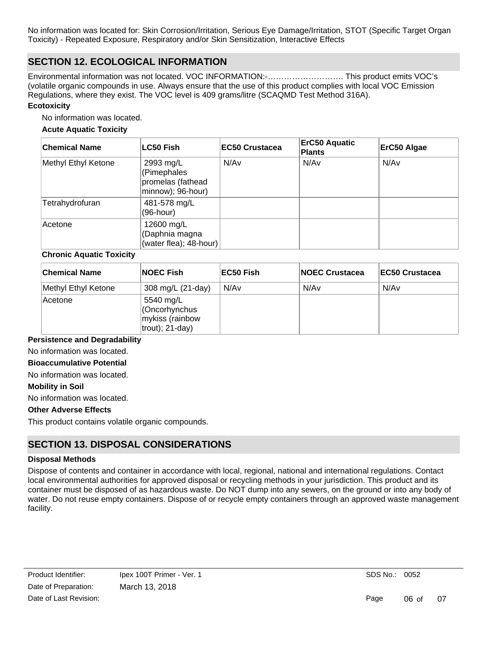No information was located for: Skin Corrosion/Irritation, Serious Eye Damage/Irritation, STOT (Specific Target Organ Toxicity) - Repeated Exposure, Respiratory and/or Skin Sensitization, Interactive Effects

### **SECTION 12. ECOLOGICAL INFORMATION**

Environmental information was not located. VOC INFORMATION:-………………………. This product emits VOC's (volatile organic compounds in use. Always ensure that the use of this product complies with local VOC Emission Regulations, where they exist. The VOC level is 409 grams/litre (SCAQMD Test Method 316A).

#### **Ecotoxicity**

No information was located.

#### **Acute Aquatic Toxicity**

| <b>Chemical Name</b> | <b>LC50 Fish</b>                                                   | <b>EC50 Crustacea</b> | <b>ErC50 Aquatic</b><br><b>Plants</b> | ErC50 Algae |
|----------------------|--------------------------------------------------------------------|-----------------------|---------------------------------------|-------------|
| Methyl Ethyl Ketone  | 2993 mg/L<br>(Pimephales<br>promelas (fathead<br>minnow); 96-hour) | N/Av                  | N/Av                                  | N/Av        |
| Tetrahydrofuran      | 481-578 mg/L<br>(96-hour)                                          |                       |                                       |             |
| Acetone              | 12600 mg/L<br>(Daphnia magna<br>(water flea); 48-hour)             |                       |                                       |             |

#### **Chronic Aquatic Toxicity**

| <b>Chemical Name</b> | <b>NOEC Fish</b>                                                    | EC50 Fish | <b>NOEC Crustacea</b> | <b>EC50 Crustacea</b> |
|----------------------|---------------------------------------------------------------------|-----------|-----------------------|-----------------------|
| Methyl Ethyl Ketone  | 308 mg/L (21-day)                                                   | N/Av      | N/Av                  | N/Av                  |
| ∣Acetone             | 5540 mg/L<br>Cncorhynchus<br>mykiss (rainbow<br>$ $ trout); 21-day) |           |                       |                       |

#### **Persistence and Degradability**

No information was located.

#### **Bioaccumulative Potential**

No information was located.

#### **Mobility in Soil**

No information was located.

#### **Other Adverse Effects**

This product contains volatile organic compounds.

### **SECTION 13. DISPOSAL CONSIDERATIONS**

#### **Disposal Methods**

Dispose of contents and container in accordance with local, regional, national and international regulations. Contact local environmental authorities for approved disposal or recycling methods in your jurisdiction. This product and its container must be disposed of as hazardous waste. Do NOT dump into any sewers, on the ground or into any body of water. Do not reuse empty containers. Dispose of or recycle empty containers through an approved waste management facility.